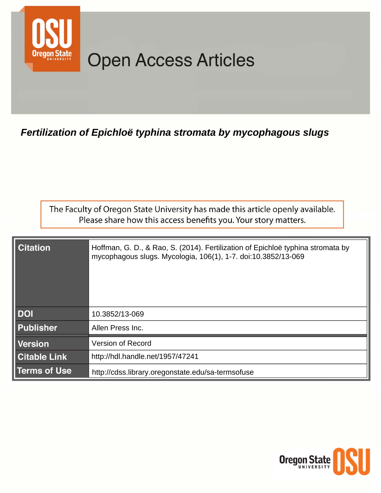

# **Open Access Articles**

Fertilization of Epichloë typhina stromata by mycophagous slugs

The Faculty of Oregon State University has made this article openly available. Please share how this access benefits you. Your story matters.

| <b>Citation</b>     | Hoffman, G. D., & Rao, S. (2014). Fertilization of Epichloë typhina stromata by<br>mycophagous slugs. Mycologia, 106(1), 1-7. doi:10.3852/13-069 |  |  |  |  |
|---------------------|--------------------------------------------------------------------------------------------------------------------------------------------------|--|--|--|--|
| <b>DOI</b>          | 10.3852/13-069                                                                                                                                   |  |  |  |  |
| <b>Publisher</b>    | Allen Press Inc.                                                                                                                                 |  |  |  |  |
| <b>Version</b>      | <b>Version of Record</b>                                                                                                                         |  |  |  |  |
| <b>Citable Link</b> | http://hdl.handle.net/1957/47241                                                                                                                 |  |  |  |  |
| <b>Terms of Use</b> | http://cdss.library.oregonstate.edu/sa-termsofuse                                                                                                |  |  |  |  |

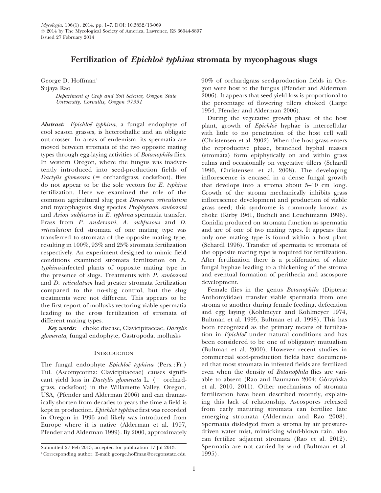# Fertilization of *Epichloë typhina* stromata by mycophagous slugs

George D. Hoffman<sup>1</sup>

Sujaya Rao

Department of Crop and Soil Science, Oregon State University, Corvallis, Oregon 97331

Abstract: Epichloë typhina, a fungal endophyte of cool season grasses, is heterothallic and an obligate out-crosser. In areas of endemism, its spermatia are moved between stromata of the two opposite mating types through egg-laying activities of Botanophila flies. In western Oregon, where the fungus was inadvertently introduced into seed-production fields of Dactylis glomerata  $(=$  orchardgrass, cocksfoot), flies do not appear to be the sole vectors for  $E$ . typhina fertilization. Here we examined the role of the common agricultural slug pest Deroceras reticulatum and mycophagous slug species Prophysaon andersoni and Arion subfuscus in E. typhina spermatia transfer. Frass from P. andersoni, A. subfuscus and D. reticulatum fed stromata of one mating type was transferred to stromata of the opposite mating type, resulting in 100%, 93% and 25% stromata fertilization respectively. An experiment designed to mimic field conditions examined stromata fertilization on E. typhina-infected plants of opposite mating type in the presence of slugs. Treatments with P. andersoni and D. reticulatum had greater stromata fertilization compared to the no-slug control, but the slug treatments were not different. This appears to be the first report of mollusks vectoring viable spermatia leading to the cross fertilization of stromata of different mating types.

Key words: choke disease, Clavicipitaceae, Dactylis glomerata, fungal endophyte, Gastropoda, mollusks

# **INTRODUCTION**

The fungal endophyte *Epichloë typhina* (Pers.: Fr.) Tul. (Ascomycotina: Clavicipitaceae) causes significant yield loss in *Dactylis glomerata* L.  $(=$  orchardgrass, cocksfoot) in the Willamette Valley, Oregon, USA, (Pfender and Alderman 2006) and can dramatically shorten from decades to years the time a field is kept in production. Epichloë typhina first was recorded in Oregon in 1996 and likely was introduced from Europe where it is native (Alderman et al. 1997, Pfender and Alderman 1999). By 2000, approximately

90% of orchardgrass seed-production fields in Oregon were host to the fungus (Pfender and Alderman 2006). It appears that seed yield loss is proportional to the percentage of flowering tillers choked (Large 1954, Pfender and Alderman 2006).

During the vegetative growth phase of the host plant, growth of *Epichloë* hyphae is intercellular with little to no penetration of the host cell wall (Christensen et al. 2002). When the host grass enters the reproductive phase, branched hyphal masses (stromata) form epiphytically on and within grass culms and occasionally on vegetative tillers (Schardl 1996, Christensen et al. 2008). The developing inflorescence is encased in a dense fungal growth that develops into a stroma about 5–10 cm long. Growth of the stroma mechanically inhibits grass inflorescence development and production of viable grass seed; this syndrome is commonly known as choke (Kirby 1961, Bucheli and Leuchtmann 1996). Conidia produced on stromata function as spermatia and are of one of two mating types. It appears that only one mating type is found within a host plant (Schardl 1996). Transfer of spermatia to stromata of the opposite mating type is required for fertilization. After fertilization there is a proliferation of white fungal hyphae leading to a thickening of the stroma and eventual formation of perithecia and ascospore development.

Female flies in the genus Botanophila (Diptera: Anthomyiidae) transfer viable spermatia from one stroma to another during female feeding, defecation and egg laying (Kohlmeyer and Kohlmeyer 1974, Bultman et al. 1995, Bultman et al. 1998). This has been recognized as the primary means of fertilization in *Epichloë* under natural conditions and has been considered to be one of obligatory mutualism (Bultman et al. 2000). However recent studies in commercial seed-production fields have documented that most stromata in infested fields are fertilized even when the density of *Botanophila* flies are variable to absent (Rao and Baumann 2004; Górzyńska et al. 2010, 2011). Other mechanisms of stromata fertilization have been described recently, explaining this lack of relationship. Ascospores released from early maturing stromata can fertilize late emerging stromata (Alderman and Rao 2008). Spermatia dislodged from a stroma by air pressuredriven water mist, mimicking wind-blown rain, also can fertilize adjacent stromata (Rao et al. 2012). Spermatia are not carried by wind (Bultman et al. 1995).

Submitted 27 Feb 2013; accepted for publication 17 Jul 2013.  $^{\rm 1}$  Corresponding author. E-mail: george.hoffman@oregonstate.edu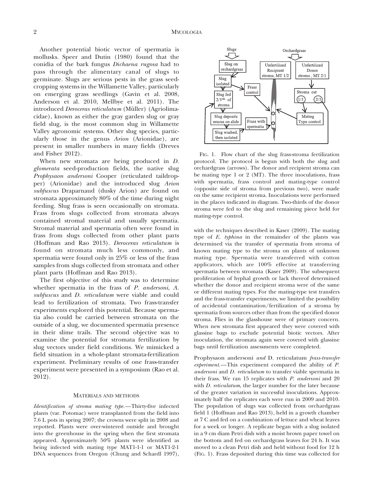Another potential biotic vector of spermatia is mollusks. Speer and Dutin (1980) found that the conidia of the bark fungus Dichaena rugosa had to pass through the alimentary canal of slugs to germinate. Slugs are serious pests in the grass seedcropping systems in the Willamette Valley, particularly on emerging grass seedlings (Gavin et al. 2008, Anderson et al. 2010, Mellbye et al. 2011). The introduced Deroceras reticulatum (Müller) (Agriolimacidae), known as either the gray garden slug or gray field slug, is the most common slug in Willamette Valley agronomic systems. Other slug species, particularly those in the genus Arion (Arionidae), are present in smaller numbers in many fields (Dreves and Fisher 2012).

When new stromata are being produced in  $D$ . glomerata seed-production fields, the native slug Prophysaon andersoni Cooper (reticulated taildropper) (Arionidae) and the introduced slug Arion subfuscus Draparnaud (dusky Arion) are found on stromata approximately 80% of the time during night feeding. Slug frass is seen occasionally on stromata. Frass from slugs collected from stromata always contained stromal material and usually spermatia. Stromal material and spermatia often were found in frass from slugs collected from other plant parts (Hoffman and Rao 2013). Deroceras reticulatum is found on stromata much less commonly, and spermatia were found only in 25% or less of the frass samples from slugs collected from stromata and other plant parts (Hoffman and Rao 2013).

The first objective of this study was to determine whether spermatia in the frass of P. andersoni, A. subfuscus and *D. reticulatum* were viable and could lead to fertilization of stromata. Two frass-transfer experiments explored this potential. Because spermatia also could be carried between stromata on the outside of a slug, we documented spermatia presence in their slime trails. The second objective was to examine the potential for stromata fertilization by slug vectors under field conditions. We mimicked a field situation in a whole-plant stromata-fertilization experiment. Preliminary results of one frass-transfer experiment were presented in a symposium (Rao et al. 2012).

### MATERIALS AND METHODS

Identification of stroma mating type.—Thirty-five infected plants (var. Potomac) were transplanted from the field into 7.6 L pots in spring 2007; the crowns were split in 2008 and repotted. Plants were over-wintered outside and brought into the greenhouse in the spring when the first stromata appeared. Approximately 50% plants were identified as being infected with mating type MAT1-1-1 or MAT1-2-1 DNA sequences from Oregon (Chung and Schardl 1997),



FIG. 1. Flow chart of the slug frass-stroma fertilization protocol. The protocol is begun with both the slug and orchardgrass (arrows). The donor and recipient stroma can be mating type 1 or 2 (MT). The three inoculations, frass with spermatia, frass control and mating-type control (opposite side of stroma from previous two), were made on the same recipient stroma. Inoculations were performed in the places indicated in diagram. Two-thirds of the donor stroma were fed to the slug and remaining piece held for mating-type control.

with the techniques described in Kaser (2009). The mating type of E. typhina in the remainder of the plants was determined via the transfer of spermatia from stroma of known mating type to the stroma on plants of unknown mating type. Spermatia were transferred with cotton applicators, which are 100% effective at transferring spermatia between stromata (Kaser 2009). The subsequent proliferation of hyphal growth or lack thereof determined whether the donor and recipient stroma were of the same or different mating types. For the mating-type test transfers and the frass-transfer experiments, we limited the possibility of accidental contamination/fertilization of a stroma by spermatia from sources other than from the specified donor stroma. Flies in the glasshouse were of primary concern. When new stromata first appeared they were covered with glassine bags to exclude potential biotic vectors. After inoculation, the stromata again were covered with glassine bags until fertilization assessments were completed.

Prophysaon andersoni and D. reticulatum frass-transfer experiment.—This experiment compared the ability of P. andersoni and D. reticulatum to transfer viable spermatia in their frass. We ran 15 replicates with P. andersoni and 20 with *D. reticulatum*, the larger number for the later because of the greater variation in successful inoculations. Approximately half the replicates each were run in 2009 and 2010. The population of slugs was collected from orchardgrass field 1 (Hoffman and Rao 2013), held in a growth chamber at 7 C and fed on a combination of lettuce and wheat leaves for a week or longer. A replicate began with a slug isolated in a 9 cm diam Petri dish with a moist brown paper towel on the bottom and fed on orchardgrass leaves for 24 h. It was moved to a clean Petri dish and held without food for 12 h (FIG. 1). Frass deposited during this time was collected for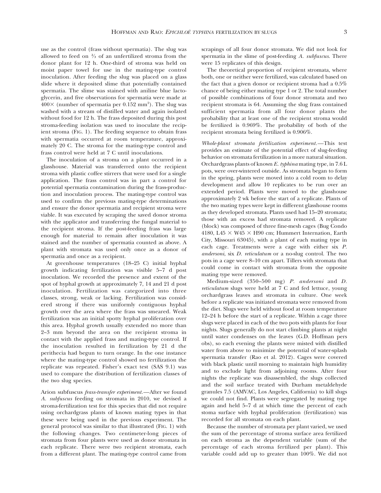use as the control (frass without spermatia). The slug was allowed to feed on  $\frac{2}{3}$  of an unfertilized stroma from the donor plant for 12 h. One-third of stroma was held on moist paper towel for use in the mating-type control inoculation. After feeding the slug was placed on a glass slide where it deposited slime that potentially contained spermatia. The slime was stained with aniline blue lactoglycerin, and five observations for spermatia were made at  $400\times$  (number of spermatia per 0.152 mm<sup>2</sup>). The slug was washed with a stream of distilled water and again isolated without food for 12 h. The frass deposited during this post stroma-feeding isolation was used to inoculate the recipient stroma (FIG. 1). The feeding sequence to obtain frass with spermatia occurred at room temperature, approximately 20 C. The stroma for the mating-type control and frass control were held at 7 C until inoculations.

The inoculation of a stroma on a plant occurred in a glasshouse. Material was transferred onto the recipient stroma with plastic coffee stirrers that were used for a single application. The frass control was in part a control for potential spermatia contamination during the frass-production and inoculation process. The mating-type control was used to confirm the previous mating-type determinations and ensure the donor spermatia and recipient stroma were viable. It was executed by scraping the saved donor stroma with the applicator and transferring the fungal material to the recipient stroma. If the post-feeding frass was large enough for material to remain after inoculation it was stained and the number of spermatia counted as above. A plant with stromata was used only once as a donor of spermatia and once as a recipient.

At greenhouse temperatures (18–25 C) initial hyphal growth indicating fertilization was visible 5–7 d post inoculation. We recorded the presence and extent of the spot of hyphal growth at approximately 7, 14 and 21 d post inoculation. Fertilization was categorized into three classes, strong, weak or lacking. Fertilization was considered strong if there was uniformly contiguous hyphal growth over the area where the frass was smeared. Weak fertilization was an initial spotty hyphal proliferation over this area. Hyphal growth usually extended no more than 2–3 mm beyond the area on the recipient stroma in contact with the applied frass and mating-type control. If the inoculation resulted in fertilization by 21 d the perithecia had begun to turn orange. In the one instance where the mating-type control showed no fertilization the replicate was repeated. Fisher's exact test (SAS 9.1) was used to compare the distribution of fertilization classes of the two slug species.

Arion subfuscus frass-transfer experiment.—After we found A. subfuscus feeding on stromata in 2010, we devised a stroma-fertilization test for this species that did not require using orchardgrass plants of known mating types in that these were being used in the previous experiment. The general protocol was similar to that illustrated (FIG. 1) with the following changes. Two centimeter-long pieces of stromata from four plants were used as donor stromata in each replicate. There were two recipient stromata, each from a different plant. The mating-type control came from

scrapings of all four donor stromata. We did not look for spermatia in the slime of post-feeding A. subfuscus. There were 15 replicates of this design.

The theoretical proportion of recipient stromata, where both, one or neither were fertilized, was calculated based on the fact that a given donor or recipient stroma had a 0.5% chance of being either mating type 1 or 2. The total number of possible combinations of four donor stromata and two recipient stromata is 64. Assuming the slug frass contained sufficient spermatia from all four donor plants the probability that at least one of the recipient stroma would be fertilized is 0.969%. The probability of both of the recipient stromata being fertilized is 0.906%.

Whole-plant stromata fertilization experiment.—This test provides an estimate of the potential effect of slug-feeding behavior on stromata fertilization in a more natural situation. Orchardgrass plants of known E. typhina mating type, in  $7.6$  L pots, were over-wintered outside. As stromata began to form in the spring, plants were moved into a cold room to delay development and allow 10 replicates to be run over an extended period. Plants were moved to the glasshouse approximately 2 wk before the start of a replicate. Plants of the two mating types were kept in different glasshouse rooms as they developed stromata. Plants used had 15–20 stromata; those with an excess had stromata removed. A replicate (block) was composed of three fine-mesh cages (Bug Condo 4180, L45  $\times$  W45  $\times$  H90 cm; Hummert Internation, Earth City, Missouri 63045), with a plant of each mating type in each cage. Treatments were a cage with either six P. andersoni, six D. reticulatum or a no-slug control. The two pots in a cage were 8–10 cm apart. Tillers with stromata that could come in contact with stromata from the opposite mating type were removed.

Medium-sized (350–500 mg) P. andersoni and D. reticulatum slugs were held at 7 C and fed lettuce, young orchardgrass leaves and stromata in culture. One week before a replicate was initiated stromata were removed from the diet. Slugs were held without food at room temperature 12–24 h before the start of a replicate. Within a cage three slugs were placed in each of the two pots with plants for four nights. Slugs generally do not start climbing plants at night until water condenses on the leaves (G.D. Hoffman pers obs), so each evening the plants were misted with distilled water from above to minimize the potential of water-splash spermatia transfer (Rao et al. 2012). Cages were covered with black plastic until morning to maintain high humidity and to exclude light from adjoining rooms. After four nights the replicate was disassembled, the slugs collected and the soil surface treated with Durham metaldehyde granules 7.5 (AMVAC, Los Angeles, California) to kill slugs we could not find. Plants were segregated by mating type again and held 5–7 d at which time the percent of each stoma surface with hyphal proliferation (fertilization) was recorded for all stromata on each plant.

Because the number of stromata per plant varied, we used the sum of the percentage of stroma surface area fertilized on each stroma as the dependent variable (sum of the percentage of each stroma fertilized per plant). This variable could add up to greater than 100%. We did not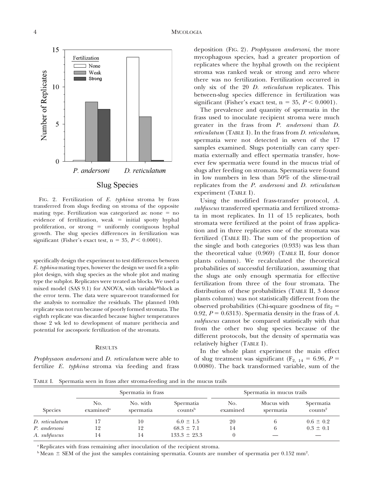

FIG. 2. Fertilization of E. typhina stroma by frass transferred from slugs feeding on stroma of the opposite mating type. Fertilization was categorized as: none  $=$  no evidence of fertilization, weak  $=$  initial spotty hyphal proliferation, or strong  $=$  uniformly contiguous hyphal growth. The slug species differences in fertilization was significant (Fisher's exact test,  $n = 35, P < 0.0001$ ).

specifically design the experiment to test differences between E. typhina mating types, however the design we used fit a splitplot design, with slug species as the whole plot and mating type the subplot. Replicates were treated as blocks. We used a mixed model (SAS 9.1) for ANOVA, with variable\*block as the error term. The data were square-root transformed for the analysis to normalize the residuals. The planned 10th replicate was not run because of poorly formed stromata. The eighth replicate was discarded because higher temperatures those 2 wk led to development of mature perithecia and potential for ascosporic fertilization of the stromata.

# **RESULTS**

Prophysaon andersoni and D. reticulatum were able to fertilize E. typhina stroma via feeding and frass

deposition (FIG. 2). Prophysaon andersoni, the more mycophagous species, had a greater proportion of replicates where the hyphal growth on the recipient stroma was ranked weak or strong and zero where there was no fertilization. Fertilization occurred in only six of the 20 D. reticulatum replicates. This between-slug species difference in fertilization was significant (Fisher's exact test,  $n = 35, P < 0.0001$ ).

The prevalence and quantity of spermatia in the frass used to inoculate recipient stroma were much greater in the frass from P. andersoni than D. reticulatum (TABLE I). In the frass from D. reticulatum, spermatia were not detected in seven of the 17 samples examined. Slugs potentially can carry spermatia externally and effect spermatia transfer, however few spermatia were found in the mucus trial of slugs after feeding on stromata. Spermatia were found in low numbers in less than 50% of the slime-trail replicates from the P. andersoni and D. reticulatum experiment (TABLE I).

Using the modified frass-transfer protocol, A. subfuscus transferred spermatia and fertilized stromata in most replicates. In 11 of 15 replicates, both stromata were fertilized at the point of frass application and in three replicates one of the stromata was fertilized (TABLE II). The sum of the proportion of the single and both categories (0.933) was less than the theoretical value (0.969) (TABLE II, four donor plants column). We recalculated the theoretical probabilities of successful fertilization, assuming that the slugs ate only enough spermatia for effective fertilization from three of the four stromata. The distribution of these probabilities (TABLE II, 3 donor plants column) was not statistically different from the observed probabilities (Chi-square goodness of  $fit_2 =$ 0.92,  $P = 0.6313$ . Spermatia density in the frass of A. subfuscus cannot be compared statistically with that from the other two slug species because of the different protocols, but the density of spermatia was relatively higher (TABLE I).

In the whole plant experiment the main effect of slug treatment was significant ( $F_{2, 14} = 6.96$ ,  $P =$ 0.0080). The back transformed variable, sum of the

TABLE I. Spermatia seen in frass after stroma-feeding and in the mucus trails

|                | Spermatia in frass           |                       |                                  | Spermatia in mucus trails |                         |                                  |
|----------------|------------------------------|-----------------------|----------------------------------|---------------------------|-------------------------|----------------------------------|
| <b>Species</b> | No.<br>examined <sup>a</sup> | No. with<br>spermatia | Spermatia<br>counts <sup>b</sup> | No.<br>examined           | Mucus with<br>spermatia | Spermatia<br>counts <sup>2</sup> |
| D. reticulatum |                              | 10                    | $6.0 \pm 1.5$                    | 20                        |                         | $0.6 \pm 0.2$                    |
| P. andersoni   | 12                           | 12                    | $68.3 \pm 7.1$                   | 14                        |                         | $0.3 \pm 0.1$                    |
| A. subfuscus   | 14                           | 14                    | $133.3 \pm 23.3$                 |                           |                         |                                  |

<sup>a</sup>Replicates with frass remaining after inoculation of the recipient stroma.

 $b$  Mean  $\pm$  SEM of the just the samples containing spermatia. Counts are number of spermatia per 0.152 mm<sup>2</sup>.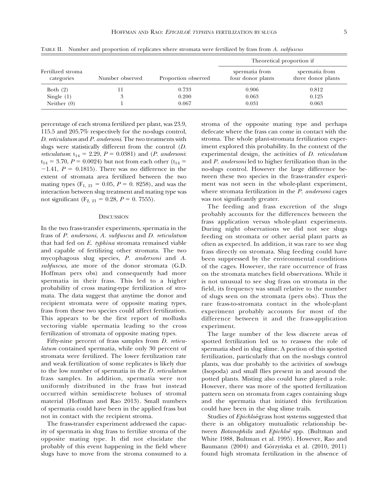|                                 |                 |                     | Theoretical proportion if           |                                      |  |
|---------------------------------|-----------------|---------------------|-------------------------------------|--------------------------------------|--|
| Fertilized stroma<br>categories | Number observed | Proportion observed | spermatia from<br>four donor plants | spermatia from<br>three donor plants |  |
| Both $(2)$                      |                 | 0.733               | 0.906                               | 0.812                                |  |
| Single $(1)$                    | 3               | 0.200               | 0.063                               | 0.125                                |  |
| Neither $(0)$                   |                 | 0.067               | 0.031                               | 0.063                                |  |

TABLE II. Number and proportion of replicates where stromata were fertilized by frass from A. subfuscus

percentage of each stroma fertilized per plant, was 23.9, 115.5 and 205.7% respectively for the no-slugs control, D. reticulatum and P. andersoni. The two treatments with slugs were statistically different from the control (D. *reticulatum*:  $t_{14} = 2.29, P = 0.0381$  and (*P. andersoni*:  $t_{14} = 3.70, P = 0.0024$ ) but not from each other ( $t_{14} =$  $-1.41$ ,  $P = 0.1815$ . There was no difference in the extent of stromata area fertilized between the two mating types ( $F_{1, 21} = 0.05$ ,  $P = 0.8258$ ), and was the interaction between slug treatment and mating type was not significant (F<sub>2, 21</sub> = 0.28, P = 0. 7555).

### **DISCUSSION**

In the two frass-transfer experiments, spermatia in the frass of P. andersoni, A. subfuscus and D. reticulatum that had fed on E. typhina stromata remained viable and capable of fertilizing other stromata. The two mycophagous slug species, P. andersoni and A. subfuscus, ate more of the donor stromata (G.D. Hoffman pers obs) and consequently had more spermatia in their frass. This led to a higher probability of cross mating-type fertilization of stromata. The data suggest that anytime the donor and recipient stromata were of opposite mating types, frass from these two species could affect fertilization. This appears to be the first report of mollusks vectoring viable spermatia leading to the cross fertilization of stromata of opposite mating types.

Fifty-nine percent of frass samples from D. reticulatum contained spermatia, while only 30 percent of stromata were fertilized. The lower fertilization rate and weak fertilization of some replicates is likely due to the low number of spermatia in the D. reticulatum frass samples. In addition, spermatia were not uniformly distributed in the frass but instead occurred within semidiscrete boluses of stromal material (Hoffman and Rao 2013). Small numbers of spermatia could have been in the applied frass but not in contact with the recipient stroma.

The frass-transfer experiment addressed the capacity of spermatia in slug frass to fertilize stroma of the opposite mating type. It did not elucidate the probably of this event happening in the field where slugs have to move from the stroma consumed to a

stroma of the opposite mating type and perhaps defecate where the frass can come in contact with the stroma. The whole plant-stromata fertilization experiment explored this probability. In the context of the experimental design, the activities of *D. reticulatum* and P. andersoni led to higher fertilization than in the no-slugs control. However the large difference between these two species in the frass-transfer experiment was not seen in the whole-plant experiment, where stromata fertilization in the P. andersoni cages was not significantly greater.

The feeding and frass excretion of the slugs probably accounts for the differences between the frass application versus whole-plant experiments. During night observations we did not see slugs feeding on stromata or other aerial plant parts as often as expected. In addition, it was rare to see slug frass directly on stromata. Slug feeding could have been suppressed by the environmental conditions of the cages. However, the rare occurrence of frass on the stromata matches field observations. While it is not unusual to see slug frass on stromata in the field, its frequency was small relative to the number of slugs seen on the stromata (pers obs). Thus the rare frass-to-stromata contact in the whole-plant experiment probably accounts for most of the difference between it and the frass-application experiment.

The large number of the less discrete areas of spotted fertilization led us to reassess the role of spermatia shed in slug slime. A portion of this spotted fertilization, particularly that on the no-slugs control plants, was due probably to the activities of sowbugs (Isopoda) and small flies present in and around the potted plants. Misting also could have played a role. However, there was more of the spotted fertilization pattern seen on stromata from cages containing slugs and the spermatia that initiated this fertilization could have been in the slug slime trails.

Studies of *Epichloë*-grass host systems suggested that there is an obligatory mutualistic relationship between Botanophila and Epichloë spp. (Bultman and White 1988, Bultman et al. 1995). However, Rao and Baumann (2004) and Górzyńska et al. (2010, 2011) found high stromata fertilization in the absence of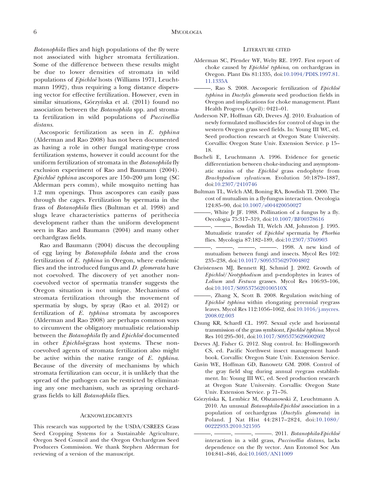Botanophila flies and high populations of the fly were not associated with higher stromata fertilization. Some of the difference between these results might be due to lower densities of stromata in wild populations of Epichloë hosts (Williams 1971, Leuchtmann 1992), thus requiring a long distance dispersing vector for effective fertilization. However, even in similar situations, Górzyńska et al. (2011) found no association between the Botanophila spp. and stromata fertilization in wild populations of Puccinellia distans.

Ascosporic fertilization as seen in E. typhina (Alderman and Rao 2008) has not been documented as having a role in other fungal mating-type cross fertilization systems, however it could account for the uniform fertilization of stromata in the Botanophila fly exclusion experiment of Rao and Baumann (2004). Epichloë typhina ascospores are  $150-200 \ \mu m \ \text{long}$  (SC Alderman pers comm), while mosquito netting has 1.2 mm openings. Thus ascospores can easily pass through the cages. Fertilization by spermatia in the frass of Botanophila flies (Bultman et al. 1998) and slugs leave characteristics patterns of perithecia development rather than the uniform development seen in Rao and Baumann (2004) and many other orchardgrass fields.

Rao and Baumann (2004) discuss the decoupling of egg laying by Botanophila lobata and the cross fertilization of E. typhina in Oregon, where endemic flies and the introduced fungus and D. glomerata have not coevolved. The discovery of yet another noncoevolved vector of spermatia transfer suggests the Oregon situation is not unique. Mechanisms of stromata fertilization through the movement of spermatia by slugs, by spray (Rao et al. 2012) or fertilization of  $E$ . typhina stromata by ascospores (Alderman and Rao 2008) are perhaps common ways to circumvent the obligatory mutualistic relationship between the Botanophila fly and Epichloë documented in other *Epichloe*<sup>grass</sup> host systems. These noncoevolved agents of stromata fertilization also might be active within the native range of E. typhina. Because of the diversity of mechanisms by which stromata fertilization can occur, it is unlikely that the spread of the pathogen can be restricted by eliminating any one mechanism, such as spraying orchardgrass fields to kill Botanophila flies.

#### **ACKNOWLEDGMENTS**

This research was supported by the USDA/CSREES Grass Seed Cropping Systems for a Sustainable Agriculture, Oregon Seed Council and the Oregon Orchardgrass Seed Producers Commission. We thank Stephen Alderman for reviewing of a version of the manuscript.

## LITERATURE CITED

- Alderman SC, Pfender WF, Welty RE. 1997. First report of choke caused by *Epichloë typhina*, on orchardgrass in Oregon. Plant Dis 81:1335[, doi:10.1094/PDIS.1997.81.](http://dx.doi.org/10.1094%2FPDIS.1997.81.11.1335A) [11.1335A](http://dx.doi.org/10.1094%2FPDIS.1997.81.11.1335A)
- -, Rao S. 2008. Ascosporic fertilization of Epichloë typhina in Dactylis glomerata seed production fields in Oregon and implications for choke management. Plant Health Progress (April): 0421–01.
- Anderson NP, Hoffman GD, Dreves AJ. 2010. Evaluation of newly formulated molluscides for control of slugs in the western Oregon grass seed fields. In: Young III WC, ed. Seed production research at Oregon State University. Corvallis: Oregon State Univ. Extension Service. p 15– 18.
- Bucheli E, Leuchtmann A. 1996. Evidence for genetic differentiation between choke-inducing and asymptomatic strains of the Epichloë grass endophyte from Brachypodium sylvaticum. Evolution 50:1879–1887[,](http://dx.doi.org/10.2307%2F2410746) [doi:10.2307/2410746](http://dx.doi.org/10.2307%2F2410746)
- Bultman TL, Welch AM, Boning RA, Bowdish TI. 2000. The cost of mutualism in a fly-fungus interaction. Oecologia 124:85–9[0, doi:10.1007/s004420050027](http://dx.doi.org/10.1007%2Fs004420050027)
- ———, White Jr JF. 1988. Pollination of a fungus by a fly. Oecologia 75:317–319[, doi:10.1007/BF00378616](http://dx.doi.org/10.1007%2FBF00378616)
- -, ---, Bowdish TI, Welch AM, Johnston J. 1995. Mutualistic transfer of Epichloë spermatia by Phorbia flies. Mycologia 87:182–189[, doi:10.2307/3760903](http://dx.doi.org/10.2307%2F3760903)
- -, -, -, -, 1998. A new kind of mutualism between fungi and insects. Mycol Res 102: 235–23[8, doi:10.1017/S0953756297004802](http://dx.doi.org/10.1017%2FS0953756297004802)
- Christensen MJ, Bennett RJ, Schmid J. 2002. Growth of Epichloë/Neotyphodium and p-endophytes in leaves of Lolium and Festuca grasses. Mycol Res 106:93–106[,](http://dx.doi.org/10.1017%2FS095375620100510X) [doi:10.1017/S095375620100510X](http://dx.doi.org/10.1017%2FS095375620100510X)
- ———, Zhang X, Scott B. 2008. Regulation switching of Epichloë typhina within elongating perennial ryegrass leaves. Mycol Res 112:1056–1062[, doi:10.1016/j.mycres.](http://dx.doi.org/10.1016%2Fj.mycres.2008.02.003) [2008.02.003](http://dx.doi.org/10.1016%2Fj.mycres.2008.02.003)
- Chung KR, Schardl CL. 1997. Sexual cycle and horizontal transmission of the grass symbiont, Epichloë typhina. Mycol Res 101:295–30[1, doi:10.1017/S0953756296002602](http://dx.doi.org/10.1017%2FS0953756296002602)
- Dreves AJ, Fisher G. 2012. Slug control. In: Hollingsworth CS, ed. Pacific Northwest insect management handbook. Corvallis: Oregon State Univ. Extension Service.
- Gavin WE, Hoffman GD, Banowetz GM. 2008. Control of the gray field slug during annual ryegrass establishment. In: Young III WC, ed. Seed production research at Oregon State University. Corvallis: Oregon State Univ. Extension Service. p 71–76.
- Górzyńska K, Lembicz M, Olszanowski Z, Leuchtmann A. 2010. An unusual Botanophila-Epichloë association in a population of orchardgrass (Dactylis glomerata) in Poland. J Nat Hist 44:2817–2824[, doi:10.1080/](http://dx.doi.org/10.1080%2F00222933.2010.521595) [00222933.2010.521595](http://dx.doi.org/10.1080%2F00222933.2010.521595)
- ———, ———, ———, ———. 2011. Botanophila-Epichloe¨ interaction in a wild grass, Puccinellia distans, lacks dependence on the fly vector. Ann Entomol Soc Am 104:841–846[, doi:10.1603/AN11009](http://dx.doi.org/10.1603%2FAN11009)